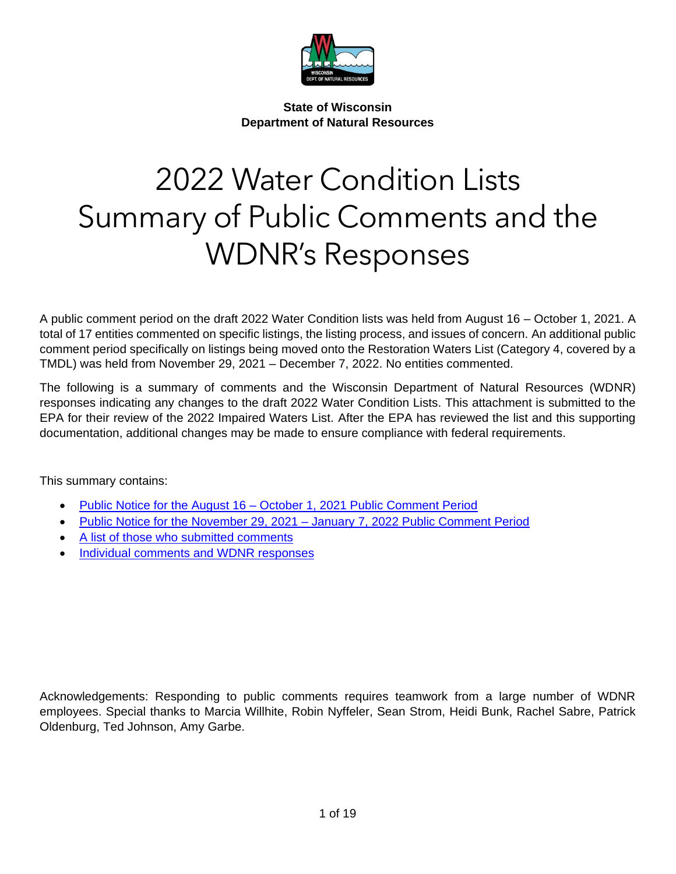

**State of Wisconsin Department of Natural Resources**

# 2022 Water Condition Lists Summary of Public Comments and the WDNR's Responses

A public comment period on the draft 2022 Water Condition lists was held from August 16 – October 1, 2021. A total of 17 entities commented on specific listings, the listing process, and issues of concern. An additional public comment period specifically on listings being moved onto the Restoration Waters List (Category 4, covered by a TMDL) was held from November 29, 2021 – December 7, 2022. No entities commented.

The following is a summary of comments and the Wisconsin Department of Natural Resources (WDNR) responses indicating any changes to the draft 2022 Water Condition Lists. This attachment is submitted to the EPA for their review of the 2022 Impaired Waters List. After the EPA has reviewed the list and this supporting documentation, additional changes may be made to ensure compliance with federal requirements.

This summary contains:

- Public Notice for the August 16 [October 1, 2021 Public Comment Period](#page-2-0)
- Public Notice for the November 29, 2021 [January 7, 2022 Public Comment Period](#page-3-0)
- [A list of those who submitted comments](#page-4-0)
- [Individual comments and WDNR responses](#page-5-0)

Acknowledgements: Responding to public comments requires teamwork from a large number of WDNR employees. Special thanks to Marcia Willhite, Robin Nyffeler, Sean Strom, Heidi Bunk, Rachel Sabre, Patrick Oldenburg, Ted Johnson, Amy Garbe.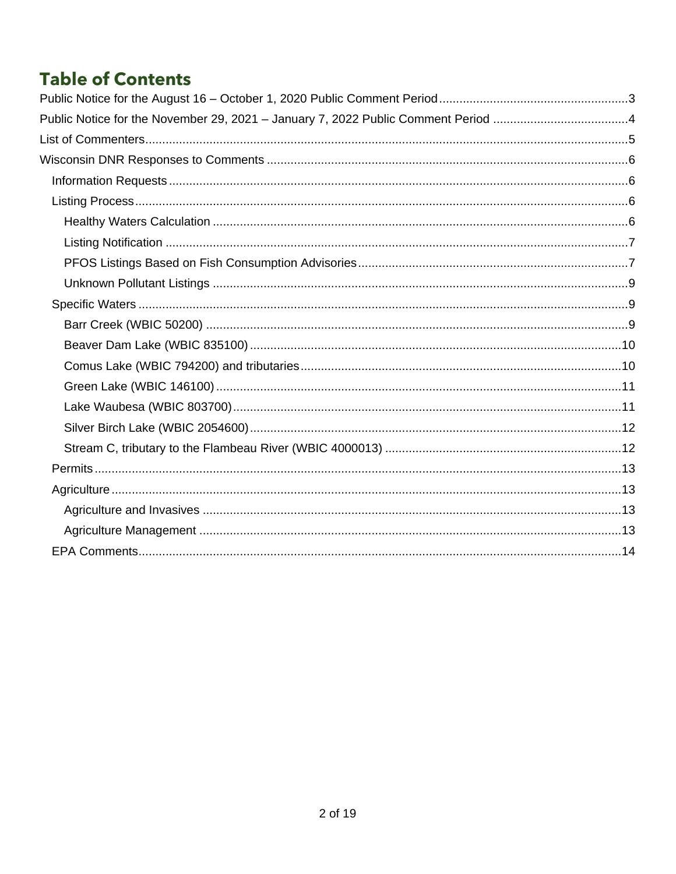# **Table of Contents**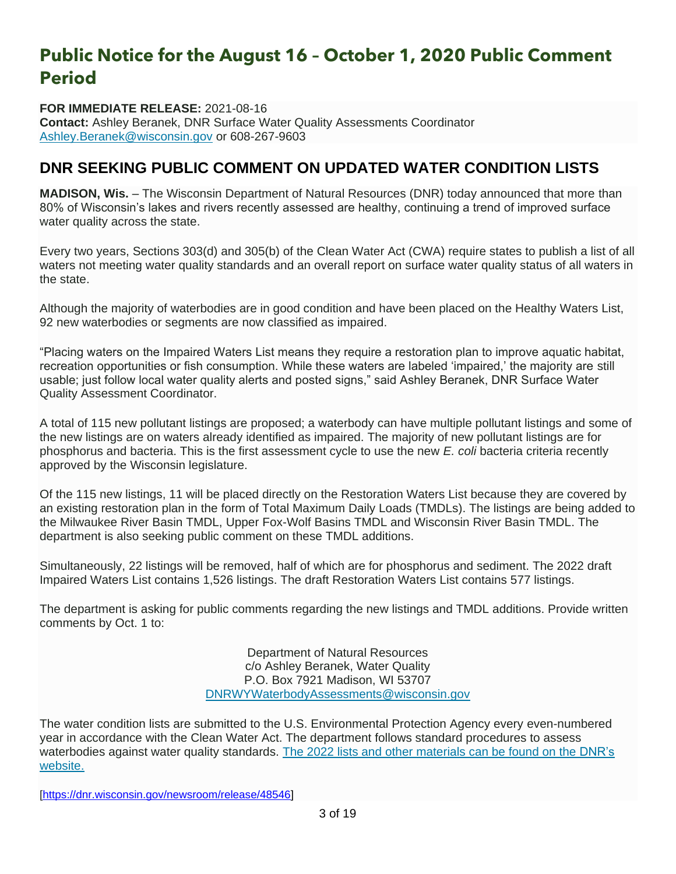# <span id="page-2-0"></span>**Public Notice for the August 16 – October 1, 2020 Public Comment Period**

**FOR IMMEDIATE RELEASE:** 2021-08-16 **Contact:** Ashley Beranek, DNR Surface Water Quality Assessments Coordinator [Ashley.Beranek@wisconsin.gov](mailto:Ashley.Beranek@wisconsin.gov) or 608-267-9603

### **DNR SEEKING PUBLIC COMMENT ON UPDATED WATER CONDITION LISTS**

**MADISON, Wis.** – The Wisconsin Department of Natural Resources (DNR) today announced that more than 80% of Wisconsin's lakes and rivers recently assessed are healthy, continuing a trend of improved surface water quality across the state.

Every two years, Sections 303(d) and 305(b) of the Clean Water Act (CWA) require states to publish a list of all waters not meeting water quality standards and an overall report on surface water quality status of all waters in the state.

Although the majority of waterbodies are in good condition and have been placed on the Healthy Waters List, 92 new waterbodies or segments are now classified as impaired.

"Placing waters on the Impaired Waters List means they require a restoration plan to improve aquatic habitat, recreation opportunities or fish consumption. While these waters are labeled 'impaired,' the majority are still usable; just follow local water quality alerts and posted signs," said Ashley Beranek, DNR Surface Water Quality Assessment Coordinator.

A total of 115 new pollutant listings are proposed; a waterbody can have multiple pollutant listings and some of the new listings are on waters already identified as impaired. The majority of new pollutant listings are for phosphorus and bacteria. This is the first assessment cycle to use the new *E. coli* bacteria criteria recently approved by the Wisconsin legislature.

Of the 115 new listings, 11 will be placed directly on the Restoration Waters List because they are covered by an existing restoration plan in the form of Total Maximum Daily Loads (TMDLs). The listings are being added to the Milwaukee River Basin TMDL, Upper Fox-Wolf Basins TMDL and Wisconsin River Basin TMDL. The department is also seeking public comment on these TMDL additions.

Simultaneously, 22 listings will be removed, half of which are for phosphorus and sediment. The 2022 draft Impaired Waters List contains 1,526 listings. The draft Restoration Waters List contains 577 listings.

The department is asking for public comments regarding the new listings and TMDL additions. Provide written comments by Oct. 1 to:

> Department of Natural Resources c/o Ashley Beranek, Water Quality P.O. Box 7921 Madison, WI 53707 [DNRWYWaterbodyAssessments@wisconsin.gov](mailto:DNRWYWaterbodyAssessments@wisconsin.gov)

The water condition lists are submitted to the U.S. Environmental Protection Agency every even-numbered year in accordance with the Clean Water Act. The department follows standard procedures to assess waterbodies against water quality standards. The 2022 lists and [other materials can be found on the](https://dnr.wisconsin.gov/topic/SurfaceWater/ConditionLists.html) DNR's [website.](https://dnr.wisconsin.gov/topic/SurfaceWater/ConditionLists.html)

[\[https://dnr.wisconsin.gov/newsroom/release/48546\]](https://dnr.wisconsin.gov/newsroom/release/48546)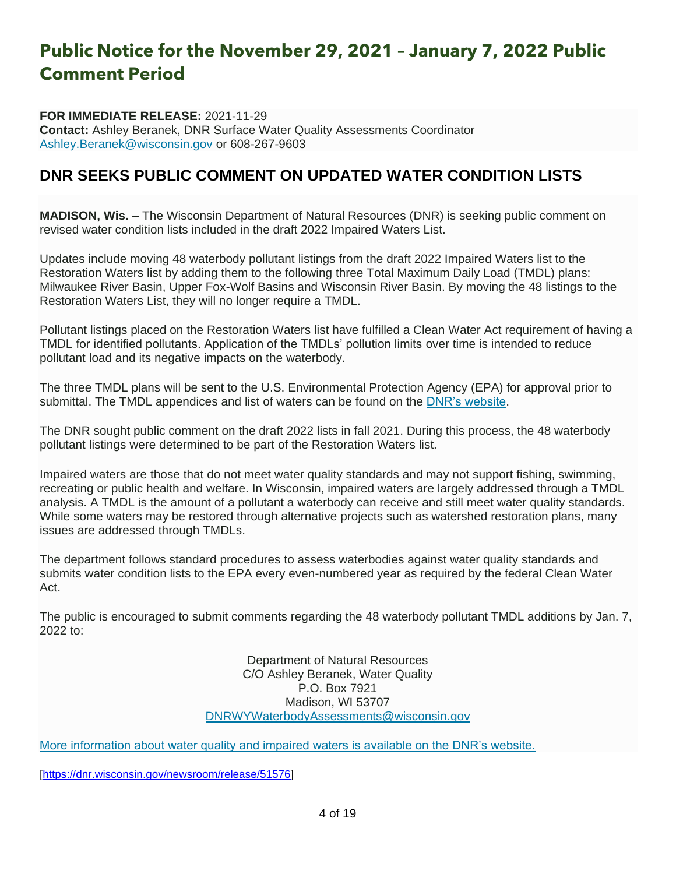# <span id="page-3-0"></span>**Public Notice for the November 29, 2021 – January 7, 2022 Public Comment Period**

**FOR IMMEDIATE RELEASE:** 2021-11-29 **Contact:** Ashley Beranek, DNR Surface Water Quality Assessments Coordinator [Ashley.Beranek@wisconsin.gov](mailto:Ashley.Beranek@wisconsin.gov) or 608-267-9603

### **DNR SEEKS PUBLIC COMMENT ON UPDATED WATER CONDITION LISTS**

**MADISON, Wis.** – The Wisconsin Department of Natural Resources (DNR) is seeking public comment on revised water condition lists included in the draft 2022 Impaired Waters List.

Updates include moving 48 waterbody pollutant listings from the draft 2022 Impaired Waters list to the Restoration Waters list by adding them to the following three Total Maximum Daily Load (TMDL) plans: Milwaukee River Basin, Upper Fox-Wolf Basins and Wisconsin River Basin. By moving the 48 listings to the Restoration Waters List, they will no longer require a TMDL.

Pollutant listings placed on the Restoration Waters list have fulfilled a Clean Water Act requirement of having a TMDL for identified pollutants. Application of the TMDLs' pollution limits over time is intended to reduce pollutant load and its negative impacts on the waterbody.

The three TMDL plans will be sent to the U.S. Environmental Protection Agency (EPA) for approval prior to submittal. The TMDL appendices and list of waters can be found on the [DNR's website.](https://dnr.wisconsin.gov/topic/SurfaceWater/ConditionLists.html)

The DNR sought public comment on the draft 2022 lists in fall 2021. During this process, the 48 waterbody pollutant listings were determined to be part of the Restoration Waters list.

Impaired waters are those that do not meet water quality standards and may not support fishing, swimming, recreating or public health and welfare. In Wisconsin, impaired waters are largely addressed through a TMDL analysis. A TMDL is the amount of a pollutant a waterbody can receive and still meet water quality standards. While some waters may be restored through alternative projects such as watershed restoration plans, many issues are addressed through TMDLs.

The department follows standard procedures to assess waterbodies against water quality standards and submits water condition lists to the EPA every even-numbered year as required by the federal Clean Water Act.

The public is encouraged to submit comments regarding the 48 waterbody pollutant TMDL additions by Jan. 7,  $2022$  to:

> Department of Natural Resources C/O Ashley Beranek, Water Quality P.O. Box 7921 Madison, WI 53707 [DNRWYWaterbodyAssessments@wisconsin.gov](mailto:DNRWYWaterbodyAssessments@wisconsin.gov)

[More information about water quality and impaired waters is available on the DNR's website.](https://dnr.wisconsin.gov/topic/SurfaceWater/ConditionLists.html)

[\[https://dnr.wisconsin.gov/newsroom/release/51576\]](https://dnr.wisconsin.gov/newsroom/release/51576)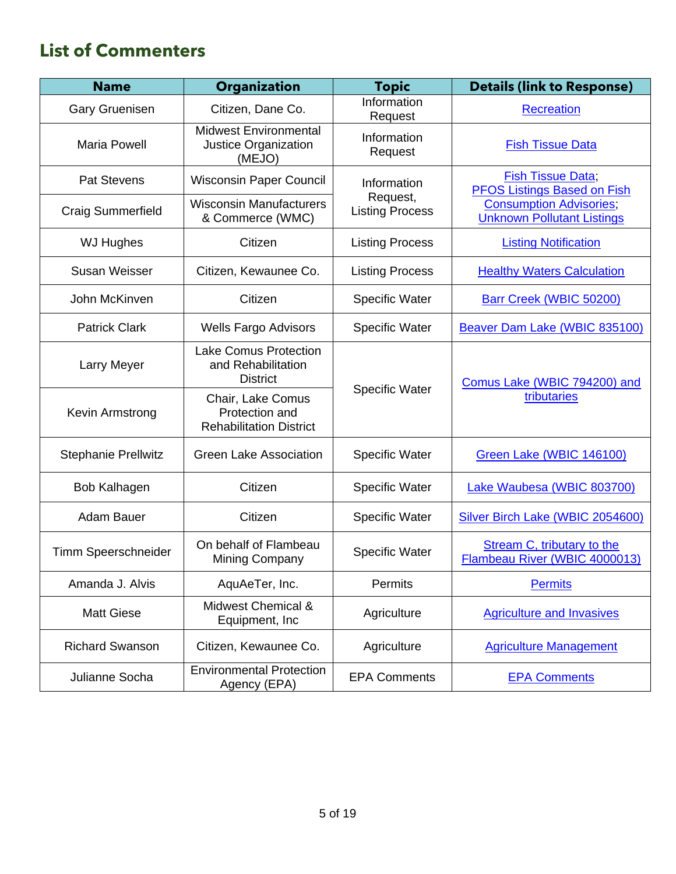# <span id="page-4-0"></span>**List of Commenters**

| <b>Name</b>                | <b>Organization</b>                                                   | <b>Topic</b>                       | <b>Details (link to Response)</b>                                  |
|----------------------------|-----------------------------------------------------------------------|------------------------------------|--------------------------------------------------------------------|
| <b>Gary Gruenisen</b>      | Citizen, Dane Co.                                                     | Information<br>Request             | <b>Recreation</b>                                                  |
| <b>Maria Powell</b>        | <b>Midwest Environmental</b><br>Justice Organization<br>(MEJO)        | Information<br>Request             | <b>Fish Tissue Data</b>                                            |
| <b>Pat Stevens</b>         | <b>Wisconsin Paper Council</b>                                        | Information                        | <b>Fish Tissue Data</b> ;<br><b>PFOS Listings Based on Fish</b>    |
| <b>Craig Summerfield</b>   | <b>Wisconsin Manufacturers</b><br>& Commerce (WMC)                    | Request,<br><b>Listing Process</b> | <b>Consumption Advisories</b><br><b>Unknown Pollutant Listings</b> |
| <b>WJ Hughes</b>           | Citizen                                                               | <b>Listing Process</b>             | <b>Listing Notification</b>                                        |
| <b>Susan Weisser</b>       | Citizen, Kewaunee Co.                                                 | <b>Listing Process</b>             | <b>Healthy Waters Calculation</b>                                  |
| John McKinven              | Citizen                                                               | Specific Water                     | Barr Creek (WBIC 50200)                                            |
| <b>Patrick Clark</b>       | <b>Wells Fargo Advisors</b>                                           | <b>Specific Water</b>              | Beaver Dam Lake (WBIC 835100)                                      |
| Larry Meyer                | <b>Lake Comus Protection</b><br>and Rehabilitation<br><b>District</b> |                                    | Comus Lake (WBIC 794200) and                                       |
| Kevin Armstrong            | Chair, Lake Comus<br>Protection and<br><b>Rehabilitation District</b> | <b>Specific Water</b>              | tributaries                                                        |
| <b>Stephanie Prellwitz</b> | <b>Green Lake Association</b>                                         | <b>Specific Water</b>              | Green Lake (WBIC 146100)                                           |
| Bob Kalhagen               | Citizen                                                               | <b>Specific Water</b>              | Lake Waubesa (WBIC 803700)                                         |
| <b>Adam Bauer</b>          | Citizen                                                               | <b>Specific Water</b>              | Silver Birch Lake (WBIC 2054600)                                   |
| Timm Speerschneider        | On behalf of Flambeau<br>Mining Company                               | Specific Water                     | <b>Stream C, tributary to the</b><br>Flambeau River (WBIC 4000013) |
| Amanda J. Alvis            | AquAeTer, Inc.                                                        | Permits                            | <b>Permits</b>                                                     |
| <b>Matt Giese</b>          | Midwest Chemical &<br>Equipment, Inc.                                 | Agriculture                        | <b>Agriculture and Invasives</b>                                   |
| <b>Richard Swanson</b>     | Citizen, Kewaunee Co.                                                 | Agriculture                        | <b>Agriculture Management</b>                                      |
| Julianne Socha             | <b>Environmental Protection</b><br>Agency (EPA)                       | <b>EPA Comments</b>                | <b>EPA Comments</b>                                                |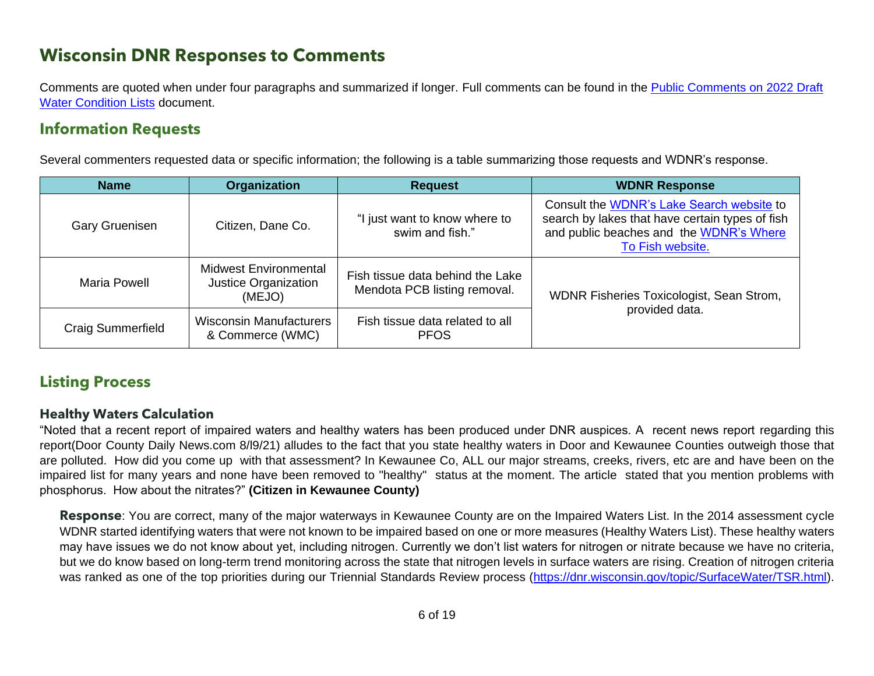## **Wisconsin DNR Responses to Comments**

Comments are quoted when under four paragraphs and summarized if longer. Full comments can be found in the [Public Comments on 2022 Draft](https://dnr.wi.gov/water/wsSWIMSDocument.ashx?documentSeqNo=300858266)  [Water Condition Lists](https://dnr.wi.gov/water/wsSWIMSDocument.ashx?documentSeqNo=300858266) document.

### **Information Requests**

Several commenters requested data or specific information; the following is a table summarizing those requests and WDNR's response.

<span id="page-5-0"></span>

| <b>Name</b>              | Organization                                                   | <b>Request</b>                                                   | <b>WDNR Response</b>                                                                                                                                        |  |  |
|--------------------------|----------------------------------------------------------------|------------------------------------------------------------------|-------------------------------------------------------------------------------------------------------------------------------------------------------------|--|--|
| <b>Gary Gruenisen</b>    | Citizen, Dane Co.                                              | "I just want to know where to<br>swim and fish."                 | Consult the WDNR's Lake Search website to<br>search by lakes that have certain types of fish<br>and public beaches and the WDNR's Where<br>To Fish website. |  |  |
| <b>Maria Powell</b>      | <b>Midwest Environmental</b><br>Justice Organization<br>(MEJO) | Fish tissue data behind the Lake<br>Mendota PCB listing removal. | WDNR Fisheries Toxicologist, Sean Strom,                                                                                                                    |  |  |
| <b>Craig Summerfield</b> | Wisconsin Manufacturers<br>& Commerce (WMC)                    | Fish tissue data related to all<br><b>PFOS</b>                   | provided data.                                                                                                                                              |  |  |

### <span id="page-5-1"></span>**Listing Process**

#### **Healthy Waters Calculation**

"Noted that a recent report of impaired waters and healthy waters has been produced under DNR auspices. A recent news report regarding this report(Door County Daily News.com 8/l9/21) alludes to the fact that you state healthy waters in Door and Kewaunee Counties outweigh those that are polluted. How did you come up with that assessment? In Kewaunee Co, ALL our major streams, creeks, rivers, etc are and have been on the impaired list for many years and none have been removed to "healthy" status at the moment. The article stated that you mention problems with phosphorus. How about the nitrates?" **(Citizen in Kewaunee County)**

<span id="page-5-3"></span><span id="page-5-2"></span>**Response**: You are correct, many of the major waterways in Kewaunee County are on the Impaired Waters List. In the 2014 assessment cycle WDNR started identifying waters that were not known to be impaired based on one or more measures (Healthy Waters List). These healthy waters may have issues we do not know about yet, including nitrogen. Currently we don't list waters for nitrogen or nitrate because we have no criteria, but we do know based on long-term trend monitoring across the state that nitrogen levels in surface waters are rising. Creation of nitrogen criteria was ranked as one of the top priorities during our Triennial Standards Review process [\(https://dnr.wisconsin.gov/topic/SurfaceWater/TSR.html\)](https://dnr.wisconsin.gov/topic/SurfaceWater/TSR.html).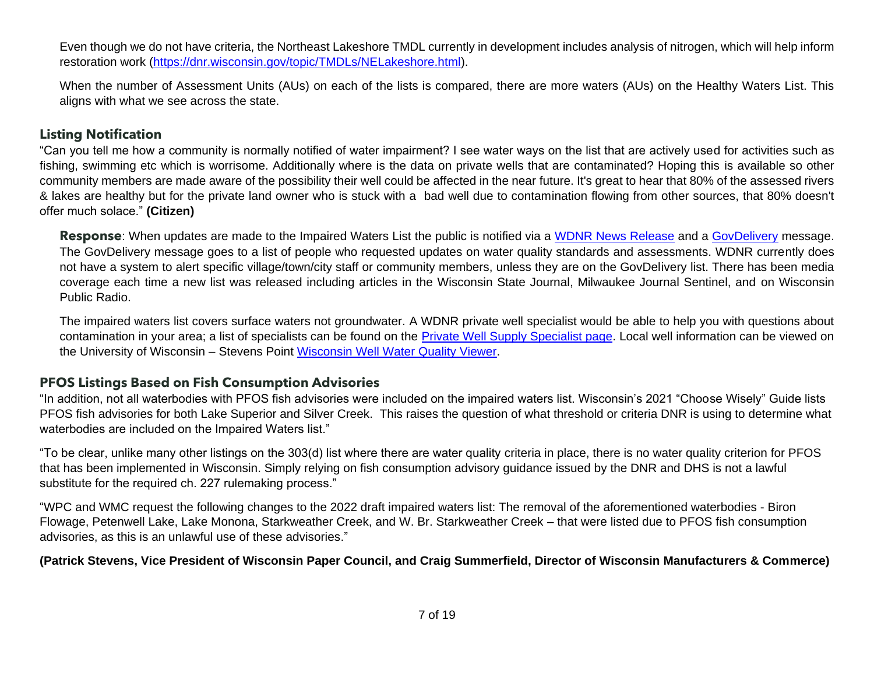Even though we do not have criteria, the Northeast Lakeshore TMDL currently in development includes analysis of nitrogen, which will help inform restoration work [\(https://dnr.wisconsin.gov/topic/TMDLs/NELakeshore.html\)](https://dnr.wisconsin.gov/topic/TMDLs/NELakeshore.html).

When the number of Assessment Units (AUs) on each of the lists is compared, there are more waters (AUs) on the Healthy Waters List. This aligns with what we see across the state.

#### **Listing Notification**

"Can you tell me how a community is normally notified of water impairment? I see water ways on the list that are actively used for activities such as fishing, swimming etc which is worrisome. Additionally where is the data on private wells that are contaminated? Hoping this is available so other community members are made aware of the possibility their well could be affected in the near future. It's great to hear that 80% of the assessed rivers & lakes are healthy but for the private land owner who is stuck with a bad well due to contamination flowing from other sources, that 80% doesn't offer much solace." **(Citizen)**

**Response**: When updates are made to the Impaired Waters List the public is notified via a [WDNR News Release](https://dnr.wi.gov/news/) and a [GovDelivery](https://public.govdelivery.com/accounts/WIDNR/subscriber/new) message. The GovDelivery message goes to a list of people who requested updates on water quality standards and assessments. WDNR currently does not have a system to alert specific village/town/city staff or community members, unless they are on the GovDelivery list. There has been media coverage each time a new list was released including articles in the Wisconsin State Journal, Milwaukee Journal Sentinel, and on Wisconsin Public Radio.

<span id="page-6-0"></span>The impaired waters list covers surface waters not groundwater. A WDNR private well specialist would be able to help you with questions about contamination in your area; a list of specialists can be found on the [Private Well Supply Specialist page.](https://dnr.wisconsin.gov/topic/Wells/PrivateWaterSupply.html) Local well information can be viewed on the University of Wisconsin – Stevens Point [Wisconsin Well Water](https://www.uwsp.edu/cnr-ap/watershed/Pages/WellWaterViewer.aspx) Quality Viewer.

#### **PFOS Listings Based on Fish Consumption Advisories**

"In addition, not all waterbodies with PFOS fish advisories were included on the impaired waters list. Wisconsin's 2021 "Choose Wisely" Guide lists PFOS fish advisories for both Lake Superior and Silver Creek. This raises the question of what threshold or criteria DNR is using to determine what waterbodies are included on the Impaired Waters list."

"To be clear, unlike many other listings on the 303(d) list where there are water quality criteria in place, there is no water quality criterion for PFOS that has been implemented in Wisconsin. Simply relying on fish consumption advisory guidance issued by the DNR and DHS is not a lawful substitute for the required ch. 227 rulemaking process."

"WPC and WMC request the following changes to the 2022 draft impaired waters list: The removal of the aforementioned waterbodies - Biron Flowage, Petenwell Lake, Lake Monona, Starkweather Creek, and W. Br. Starkweather Creek – that were listed due to PFOS fish consumption advisories, as this is an unlawful use of these advisories."

#### <span id="page-6-2"></span><span id="page-6-1"></span>**(Patrick Stevens, Vice President of Wisconsin Paper Council, and Craig Summerfield, Director of Wisconsin Manufacturers & Commerce)**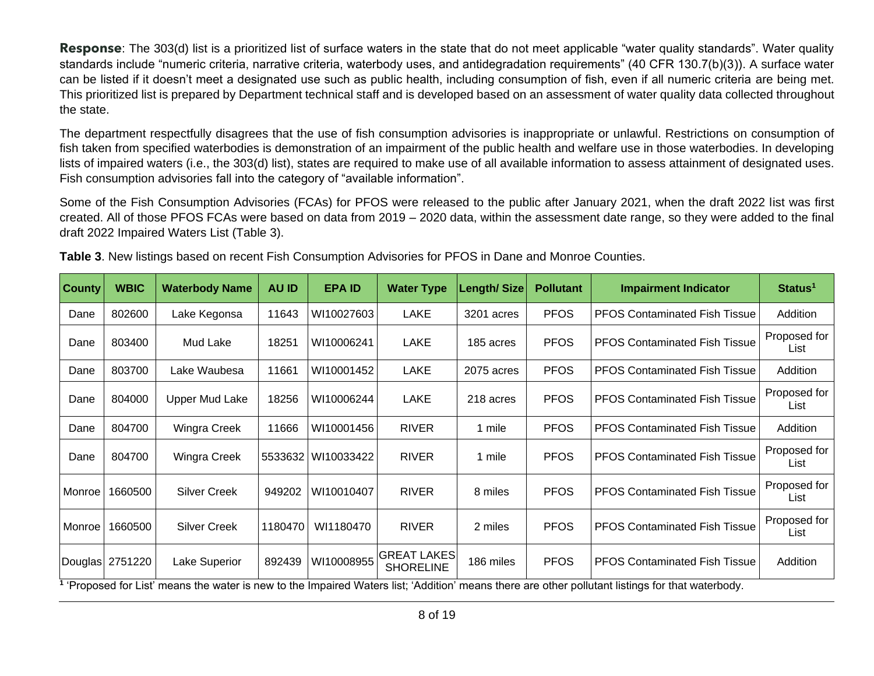**Response**: The 303(d) list is a prioritized list of surface waters in the state that do not meet applicable "water quality standards". Water quality standards include "numeric criteria, narrative criteria, waterbody uses, and antidegradation requirements" (40 CFR 130.7(b)(3)). A surface water can be listed if it doesn't meet a designated use such as public health, including consumption of fish, even if all numeric criteria are being met. This prioritized list is prepared by Department technical staff and is developed based on an assessment of water quality data collected throughout the state.

The department respectfully disagrees that the use of fish consumption advisories is inappropriate or unlawful. Restrictions on consumption of fish taken from specified waterbodies is demonstration of an impairment of the public health and welfare use in those waterbodies. In developing lists of impaired waters (i.e., the 303(d) list), states are required to make use of all available information to assess attainment of designated uses. Fish consumption advisories fall into the category of "available information".

Some of the Fish Consumption Advisories (FCAs) for PFOS were released to the public after January 2021, when the draft 2022 list was first created. All of those PFOS FCAs were based on data from 2019 – 2020 data, within the assessment date range, so they were added to the final draft 2022 Impaired Waters List (Table 3).

| <b>County</b> | <b>WBIC</b>     | <b>Waterbody Name</b> | <b>AU ID</b> | <b>EPA ID</b>      | <b>Water Type</b>                      | <b>Length/Size</b> | <b>Pollutant</b> | <b>Impairment Indicator</b>                                                                                                                     | Status <sup>1</sup>  |
|---------------|-----------------|-----------------------|--------------|--------------------|----------------------------------------|--------------------|------------------|-------------------------------------------------------------------------------------------------------------------------------------------------|----------------------|
| Dane          | 802600          | Lake Kegonsa          | 11643        | WI10027603         | <b>LAKE</b>                            | 3201 acres         | <b>PFOS</b>      | <b>PFOS Contaminated Fish Tissue</b>                                                                                                            | Addition             |
| Dane          | 803400          | Mud Lake              | 18251        | WI10006241         | <b>LAKE</b>                            | 185 acres          | <b>PFOS</b>      | <b>PFOS Contaminated Fish Tissue</b>                                                                                                            | Proposed for<br>List |
| Dane          | 803700          | Lake Waubesa          | 11661        | WI10001452         | <b>LAKE</b>                            | 2075 acres         | <b>PFOS</b>      | <b>PFOS Contaminated Fish Tissue</b>                                                                                                            | Addition             |
| Dane          | 804000          | Upper Mud Lake        | 18256        | WI10006244         | <b>LAKE</b>                            | 218 acres          | <b>PFOS</b>      | <b>PFOS Contaminated Fish Tissue</b>                                                                                                            | Proposed for<br>List |
| Dane          | 804700          | Wingra Creek          | 11666        | WI10001456         | <b>RIVER</b>                           | 1 mile             | <b>PFOS</b>      | <b>PFOS Contaminated Fish Tissue</b>                                                                                                            | Addition             |
| Dane          | 804700          | Wingra Creek          |              | 5533632 WI10033422 | <b>RIVER</b>                           | 1 mile             | <b>PFOS</b>      | <b>PFOS Contaminated Fish Tissue</b>                                                                                                            | Proposed for<br>List |
| Monroe        | 1660500         | <b>Silver Creek</b>   | 949202       | WI10010407         | <b>RIVER</b>                           | 8 miles            | <b>PFOS</b>      | <b>PFOS Contaminated Fish Tissue</b>                                                                                                            | Proposed for<br>List |
| Monroe        | 1660500         | <b>Silver Creek</b>   | 1180470      | WI1180470          | <b>RIVER</b>                           | 2 miles            | <b>PFOS</b>      | <b>PFOS Contaminated Fish Tissue</b>                                                                                                            | Proposed for<br>List |
|               | Douglas 2751220 | Lake Superior         | 892439       | WI10008955         | <b>GREAT LAKES</b><br><b>SHORELINE</b> | 186 miles          | <b>PFOS</b>      | <b>PFOS Contaminated Fish Tissue</b>                                                                                                            | Addition             |
|               |                 |                       |              |                    |                                        |                    |                  | 'Proposed for List' means the water is new to the Impaired Waters list; 'Addition' means there are other pollutant listings for that waterbody. |                      |

**Table 3**. New listings based on recent Fish Consumption Advisories for PFOS in Dane and Monroe Counties.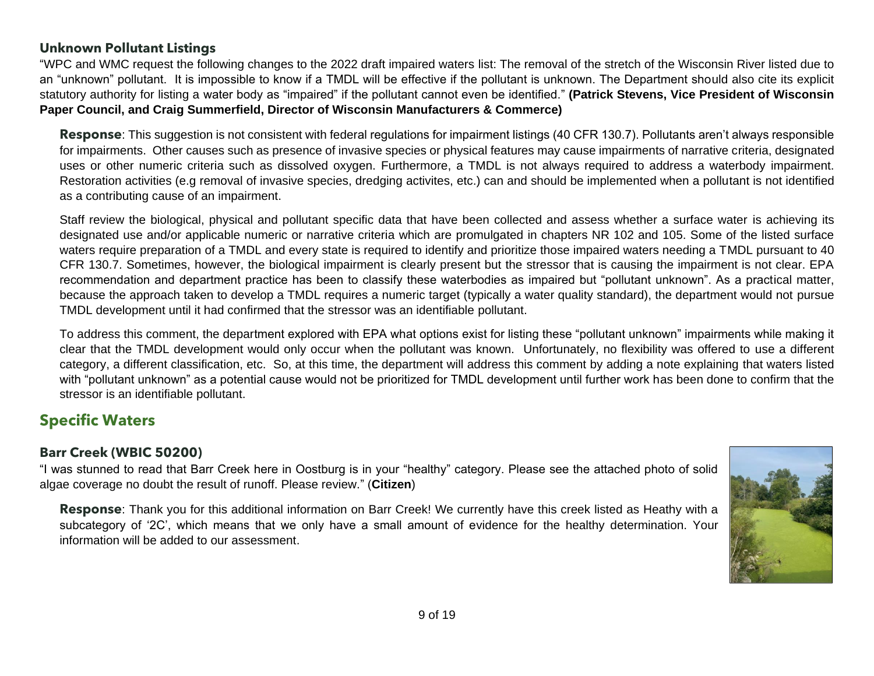### **Unknown Pollutant Listings**

"WPC and WMC request the following changes to the 2022 draft impaired waters list: The removal of the stretch of the Wisconsin River listed due to an "unknown" pollutant. It is impossible to know if a TMDL will be effective if the pollutant is unknown. The Department should also cite its explicit statutory authority for listing a water body as "impaired" if the pollutant cannot even be identified." **(Patrick Stevens, Vice President of Wisconsin Paper Council, and Craig Summerfield, Director of Wisconsin Manufacturers & Commerce)**

**Response**: This suggestion is not consistent with federal regulations for impairment listings (40 CFR 130.7). Pollutants aren't always responsible for impairments. Other causes such as presence of invasive species or physical features may cause impairments of narrative criteria, designated uses or other numeric criteria such as dissolved oxygen. Furthermore, a TMDL is not always required to address a waterbody impairment. Restoration activities (e.g removal of invasive species, dredging activites, etc.) can and should be implemented when a pollutant is not identified as a contributing cause of an impairment.

<span id="page-8-0"></span>Staff review the biological, physical and pollutant specific data that have been collected and assess whether a surface water is achieving its designated use and/or applicable numeric or narrative criteria which are promulgated in chapters NR 102 and 105. Some of the listed surface waters require preparation of a TMDL and every state is required to identify and prioritize those impaired waters needing a TMDL pursuant to 40 CFR 130.7. Sometimes, however, the biological impairment is clearly present but the stressor that is causing the impairment is not clear. EPA recommendation and department practice has been to classify these waterbodies as impaired but "pollutant unknown". As a practical matter, because the approach taken to develop a TMDL requires a numeric target (typically a water quality standard), the department would not pursue TMDL development until it had confirmed that the stressor was an identifiable pollutant.

To address this comment, the department explored with EPA what options exist for listing these "pollutant unknown" impairments while making it clear that the TMDL development would only occur when the pollutant was known. Unfortunately, no flexibility was offered to use a different category, a different classification, etc. So, at this time, the department will address this comment by adding a note explaining that waters listed with "pollutant unknown" as a potential cause would not be prioritized for TMDL development until further work has been done to confirm that the stressor is an identifiable pollutant.

### **Specific Waters**

### **Barr Creek (WBIC 50200)**

"I was stunned to read that Barr Creek here in Oostburg is in your "healthy" category. Please see the attached photo of solid algae coverage no doubt the result of runoff. Please review." (**Citizen**)

<span id="page-8-2"></span><span id="page-8-1"></span>**Response**: Thank you for this additional information on Barr Creek! We currently have this creek listed as Heathy with a subcategory of '2C', which means that we only have a small amount of evidence for the healthy determination. Your information will be added to our assessment.

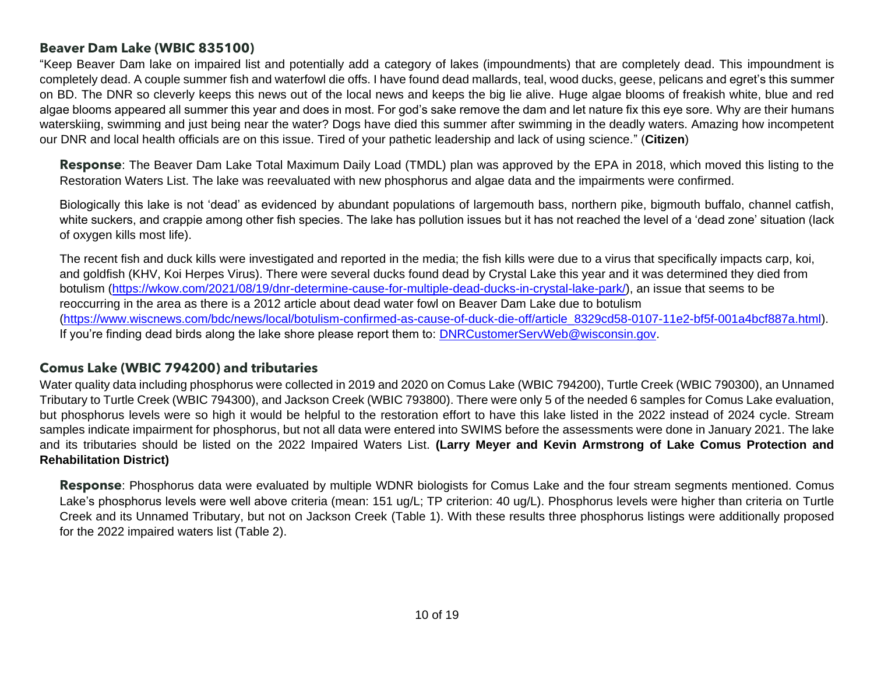### **Beaver Dam Lake (WBIC 835100)**

"Keep Beaver Dam lake on impaired list and potentially add a category of lakes (impoundments) that are completely dead. This impoundment is completely dead. A couple summer fish and waterfowl die offs. I have found dead mallards, teal, wood ducks, geese, pelicans and egret's this summer on BD. The DNR so cleverly keeps this news out of the local news and keeps the big lie alive. Huge algae blooms of freakish white, blue and red algae blooms appeared all summer this year and does in most. For god's sake remove the dam and let nature fix this eye sore. Why are their humans waterskiing, swimming and just being near the water? Dogs have died this summer after swimming in the deadly waters. Amazing how incompetent our DNR and local health officials are on this issue. Tired of your pathetic leadership and lack of using science." (**Citizen**)

**Response**: The Beaver Dam Lake Total Maximum Daily Load (TMDL) plan was approved by the EPA in 2018, which moved this listing to the Restoration Waters List. The lake was reevaluated with new phosphorus and algae data and the impairments were confirmed.

Biologically this lake is not 'dead' as evidenced by abundant populations of largemouth bass, northern pike, bigmouth buffalo, channel catfish, white suckers, and crappie among other fish species. The lake has pollution issues but it has not reached the level of a 'dead zone' situation (lack of oxygen kills most life).

<span id="page-9-0"></span>The recent fish and duck kills were investigated and reported in the media; the fish kills were due to a virus that specifically impacts carp, koi, and goldfish (KHV, Koi Herpes Virus). There were several ducks found dead by Crystal Lake this year and it was determined they died from botulism [\(https://wkow.com/2021/08/19/dnr-determine-cause-for-multiple-dead-ducks-in-crystal-lake-park/\)](https://wkow.com/2021/08/19/dnr-determine-cause-for-multiple-dead-ducks-in-crystal-lake-park/), an issue that seems to be reoccurring in the area as there is a 2012 article about dead water fowl on Beaver Dam Lake due to botulism [\(https://www.wiscnews.com/bdc/news/local/botulism-confirmed-as-cause-of-duck-die-off/article\\_8329cd58-0107-11e2-bf5f-001a4bcf887a.html\)](https://www.wiscnews.com/bdc/news/local/botulism-confirmed-as-cause-of-duck-die-off/article_8329cd58-0107-11e2-bf5f-001a4bcf887a.html). If you're finding dead birds along the lake shore please report them to: [DNRCustomerServWeb@wisconsin.gov.](mailto:DNRCustomerServWeb@wisconsin.gov)

### **Comus Lake (WBIC 794200) and tributaries**

Water quality data including phosphorus were collected in 2019 and 2020 on Comus Lake (WBIC 794200), Turtle Creek (WBIC 790300), an Unnamed Tributary to Turtle Creek (WBIC 794300), and Jackson Creek (WBIC 793800). There were only 5 of the needed 6 samples for Comus Lake evaluation, but phosphorus levels were so high it would be helpful to the restoration effort to have this lake listed in the 2022 instead of 2024 cycle. Stream samples indicate impairment for phosphorus, but not all data were entered into SWIMS before the assessments were done in January 2021. The lake and its tributaries should be listed on the 2022 Impaired Waters List. **(Larry Meyer and Kevin Armstrong of Lake Comus Protection and Rehabilitation District)**

<span id="page-9-1"></span>**Response**: Phosphorus data were evaluated by multiple WDNR biologists for Comus Lake and the four stream segments mentioned. Comus Lake's phosphorus levels were well above criteria (mean: 151 ug/L; TP criterion: 40 ug/L). Phosphorus levels were higher than criteria on Turtle Creek and its Unnamed Tributary, but not on Jackson Creek (Table 1). With these results three phosphorus listings were additionally proposed for the 2022 impaired waters list (Table 2).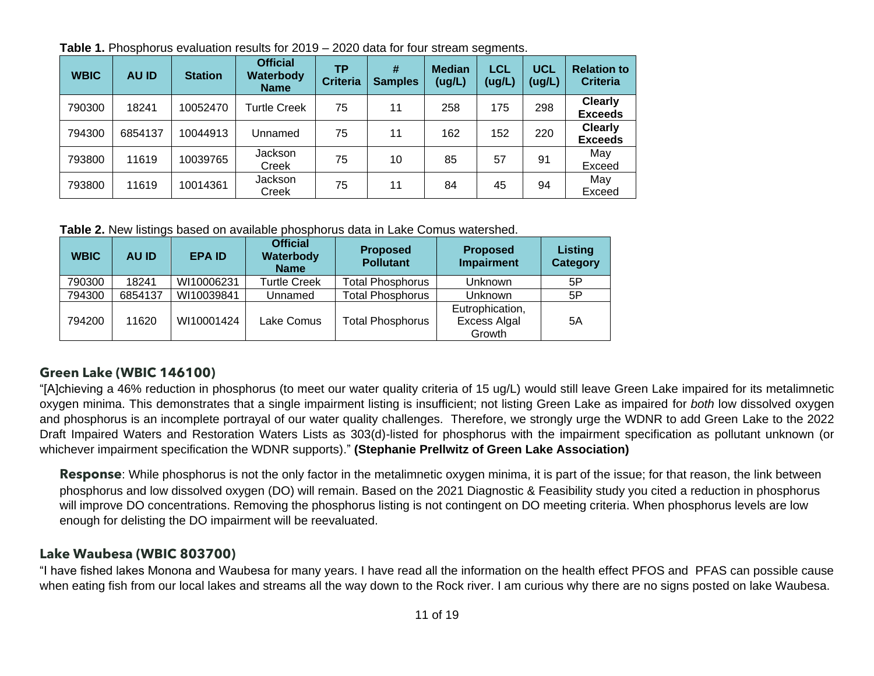| <b>WBIC</b> | <b>AU ID</b> | <b>Station</b> | <b>Official</b><br>Waterbody<br><b>Name</b> | ТP<br><b>Criteria</b> | #<br><b>Samples</b> | <b>Median</b><br>(ug/L) | <b>LCL</b><br>(ug/L) | <b>UCL</b><br>(ug/L) | <b>Relation to</b><br><b>Criteria</b> |
|-------------|--------------|----------------|---------------------------------------------|-----------------------|---------------------|-------------------------|----------------------|----------------------|---------------------------------------|
| 790300      | 18241        | 10052470       | <b>Turtle Creek</b>                         | 75                    | 11                  | 258                     | 175                  | 298                  | <b>Clearly</b><br><b>Exceeds</b>      |
| 794300      | 6854137      | 10044913       | Unnamed                                     | 75                    | 11                  | 162                     | 152                  | 220                  | <b>Clearly</b><br><b>Exceeds</b>      |
| 793800      | 11619        | 10039765       | Jackson<br>Creek                            | 75                    | 10                  | 85                      | 57                   | 91                   | May<br>Exceed                         |
| 793800      | 11619        | 10014361       | Jackson<br>Creek                            | 75                    | 11                  | 84                      | 45                   | 94                   | May<br>Exceed                         |

**Table 1.** Phosphorus evaluation results for 2019 – 2020 data for four stream segments.

**Table 2.** New listings based on available phosphorus data in Lake Comus watershed.

| <b>WBIC</b> | <b>AU ID</b> | <b>EPA ID</b> | <b>Official</b><br>Waterbody<br><b>Name</b> | <b>Proposed</b><br><b>Pollutant</b> | <b>Proposed</b><br><b>Impairment</b>             | Listing<br><b>Category</b> |
|-------------|--------------|---------------|---------------------------------------------|-------------------------------------|--------------------------------------------------|----------------------------|
| 790300      | 18241        | WI10006231    | <b>Turtle Creek</b>                         | <b>Total Phosphorus</b>             | <b>Unknown</b>                                   | 5P                         |
| 794300      | 6854137      | WI10039841    | Unnamed                                     | <b>Total Phosphorus</b>             | <b>Unknown</b>                                   | 5P                         |
| 794200      | 11620        | WI10001424    | Lake Comus                                  | <b>Total Phosphorus</b>             | Eutrophication,<br><b>Excess Algal</b><br>Growth | 5A                         |

### **Green Lake (WBIC 146100)**

"[A]chieving a 46% reduction in phosphorus (to meet our water quality criteria of 15 ug/L) would still leave Green Lake impaired for its metalimnetic oxygen minima. This demonstrates that a single impairment listing is insufficient; not listing Green Lake as impaired for *both* low dissolved oxygen and phosphorus is an incomplete portrayal of our water quality challenges. Therefore, we strongly urge the WDNR to add Green Lake to the 2022 Draft Impaired Waters and Restoration Waters Lists as 303(d)-listed for phosphorus with the impairment specification as pollutant unknown (or whichever impairment specification the WDNR supports)." **(Stephanie Prellwitz of Green Lake Association)**

**Response**: While phosphorus is not the only factor in the metalimnetic oxygen minima, it is part of the issue; for that reason, the link between phosphorus and low dissolved oxygen (DO) will remain. Based on the 2021 Diagnostic & Feasibility study you cited a reduction in phosphorus will improve DO concentrations. Removing the phosphorus listing is not contingent on DO meeting criteria. When phosphorus levels are low enough for delisting the DO impairment will be reevaluated.

### **Lake Waubesa (WBIC 803700)**

<span id="page-10-1"></span><span id="page-10-0"></span>"I have fished lakes Monona and Waubesa for many years. I have read all the information on the health effect PFOS and PFAS can possible cause when eating fish from our local lakes and streams all the way down to the Rock river. I am curious why there are no signs posted on lake Waubesa.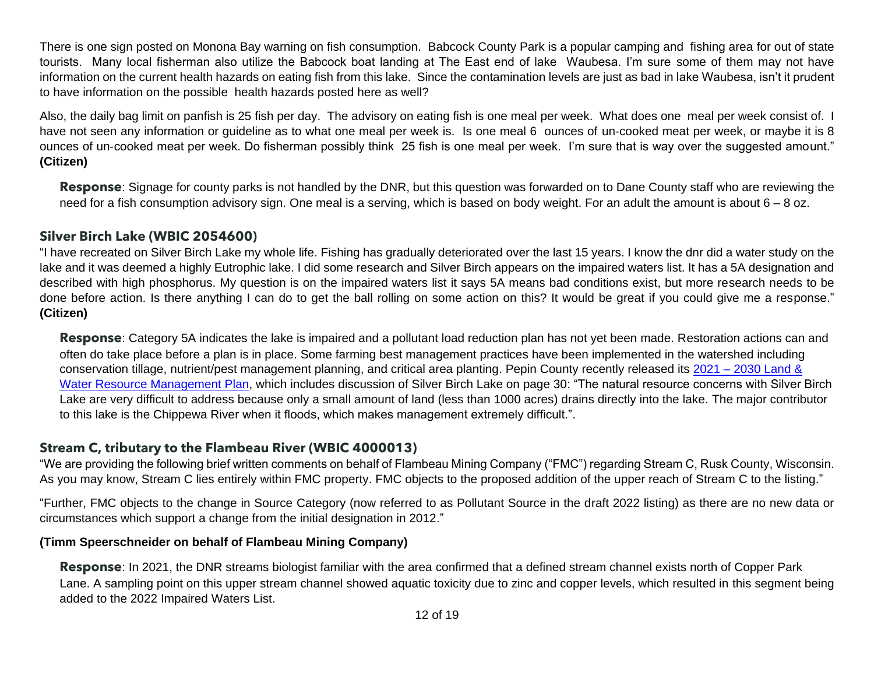There is one sign posted on Monona Bay warning on fish consumption. Babcock County Park is a popular camping and fishing area for out of state tourists. Many local fisherman also utilize the Babcock boat landing at The East end of lake Waubesa. I'm sure some of them may not have information on the current health hazards on eating fish from this lake. Since the contamination levels are just as bad in lake Waubesa, isn't it prudent to have information on the possible health hazards posted here as well?

Also, the daily bag limit on panfish is 25 fish per day. The advisory on eating fish is one meal per week. What does one meal per week consist of. I have not seen any information or guideline as to what one meal per week is. Is one meal 6 ounces of un-cooked meat per week, or maybe it is 8 ounces of un‐cooked meat per week. Do fisherman possibly think 25 fish is one meal per week. I'm sure that is way over the suggested amount." **(Citizen)**

**Response**: Signage for county parks is not handled by the DNR, but this question was forwarded on to Dane County staff who are reviewing the need for a fish consumption advisory sign. One meal is a serving, which is based on body weight. For an adult the amount is about  $6 - 8$  oz.

#### **Silver Birch Lake (WBIC 2054600)**

"I have recreated on Silver Birch Lake my whole life. Fishing has gradually deteriorated over the last 15 years. I know the dnr did a water study on the lake and it was deemed a highly Eutrophic lake. I did some research and Silver Birch appears on the impaired waters list. It has a 5A designation and described with high phosphorus. My question is on the impaired waters list it says 5A means bad conditions exist, but more research needs to be done before action. Is there anything I can do to get the ball rolling on some action on this? It would be great if you could give me a response." **(Citizen)**

**Response**: Category 5A indicates the lake is impaired and a pollutant load reduction plan has not yet been made. Restoration actions can and often do take place before a plan is in place. Some farming best management practices have been implemented in the watershed including conservation tillage, nutrient/pest management planning, and critical area planting. Pepin County recently released its 2021 – [2030 Land &](https://www.co.pepin.wi.us/index.asp?SEC=25DACD9B-C937-4A10-8D9D-CBD383DD9FB6&DE=65AE6E73-5173-4366-A230-5DA51EF633E1&Type=B_BASIC)  [Water Resource Management Plan,](https://www.co.pepin.wi.us/index.asp?SEC=25DACD9B-C937-4A10-8D9D-CBD383DD9FB6&DE=65AE6E73-5173-4366-A230-5DA51EF633E1&Type=B_BASIC) which includes discussion of Silver Birch Lake on page 30: "The natural resource concerns with Silver Birch Lake are very difficult to address because only a small amount of land (less than 1000 acres) drains directly into the lake. The major contributor to this lake is the Chippewa River when it floods, which makes management extremely difficult.".

### <span id="page-11-0"></span>**Stream C, tributary to the Flambeau River (WBIC 4000013)**

"We are providing the following brief written comments on behalf of Flambeau Mining Company ("FMC") regarding Stream C, Rusk County, Wisconsin. As you may know, Stream C lies entirely within FMC property. FMC objects to the proposed addition of the upper reach of Stream C to the listing."

"Further, FMC objects to the change in Source Category (now referred to as Pollutant Source in the draft 2022 listing) as there are no new data or circumstances which support a change from the initial designation in 2012."

#### **(Timm Speerschneider on behalf of Flambeau Mining Company)**

<span id="page-11-1"></span>**Response**: In 2021, the DNR streams biologist familiar with the area confirmed that a defined stream channel exists north of Copper Park Lane. A sampling point on this upper stream channel showed aquatic toxicity due to zinc and copper levels, which resulted in this segment being added to the 2022 Impaired Waters List.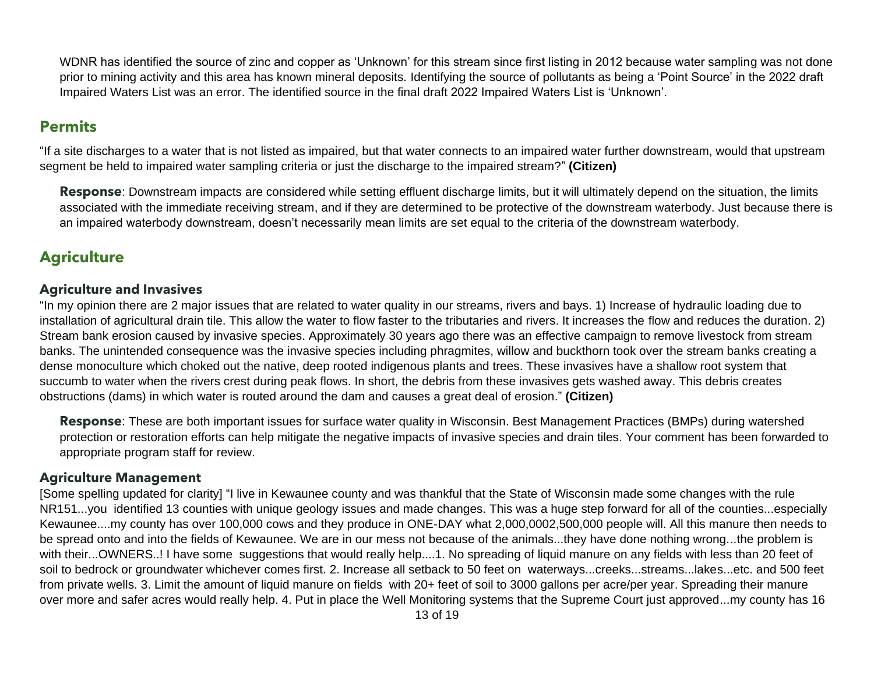WDNR has identified the source of zinc and copper as 'Unknown' for this stream since first listing in 2012 because water sampling was not done prior to mining activity and this area has known mineral deposits. Identifying the source of pollutants as being a 'Point Source' in the 2022 draft Impaired Waters List was an error. The identified source in the final draft 2022 Impaired Waters List is 'Unknown'.

### **Permits**

"If a site discharges to a water that is not listed as impaired, but that water connects to an impaired water further downstream, would that upstream segment be held to impaired water sampling criteria or just the discharge to the impaired stream?" **(Citizen)**

**Response**: Downstream impacts are considered while setting effluent discharge limits, but it will ultimately depend on the situation, the limits associated with the immediate receiving stream, and if they are determined to be protective of the downstream waterbody. Just because there is an impaired waterbody downstream, doesn't necessarily mean limits are set equal to the criteria of the downstream waterbody.

### **Agriculture**

#### **Agriculture and Invasives**

<span id="page-12-0"></span>"In my opinion there are 2 major issues that are related to water quality in our streams, rivers and bays. 1) Increase of hydraulic loading due to installation of agricultural drain tile. This allow the water to flow faster to the tributaries and rivers. It increases the flow and reduces the duration. 2) Stream bank erosion caused by invasive species. Approximately 30 years ago there was an effective campaign to remove livestock from stream banks. The unintended consequence was the invasive species including phragmites, willow and buckthorn took over the stream banks creating a dense monoculture which choked out the native, deep rooted indigenous plants and trees. These invasives have a shallow root system that succumb to water when the rivers crest during peak flows. In short, the debris from these invasives gets washed away. This debris creates obstructions (dams) in which water is routed around the dam and causes a great deal of erosion." **(Citizen)**

**Response**: These are both important issues for surface water quality in Wisconsin. Best Management Practices (BMPs) during watershed protection or restoration efforts can help mitigate the negative impacts of invasive species and drain tiles. Your comment has been forwarded to appropriate program staff for review.

### <span id="page-12-1"></span>**Agriculture Management**

<span id="page-12-3"></span><span id="page-12-2"></span>[Some spelling updated for clarity] "I live in Kewaunee county and was thankful that the State of Wisconsin made some changes with the rule NR151...you identified 13 counties with unique geology issues and made changes. This was a huge step forward for all of the counties...especially Kewaunee....my county has over 100,000 cows and they produce in ONE‐DAY what 2,000,0002,500,000 people will. All this manure then needs to be spread onto and into the fields of Kewaunee. We are in our mess not because of the animals...they have done nothing wrong...the problem is with their...OWNERS..! I have some suggestions that would really help....1. No spreading of liquid manure on any fields with less than 20 feet of soil to bedrock or groundwater whichever comes first. 2. Increase all setback to 50 feet on waterways...creeks...streams...lakes...etc. and 500 feet from private wells. 3. Limit the amount of liquid manure on fields with 20+ feet of soil to 3000 gallons per acre/per year. Spreading their manure over more and safer acres would really help. 4. Put in place the Well Monitoring systems that the Supreme Court just approved...my county has 16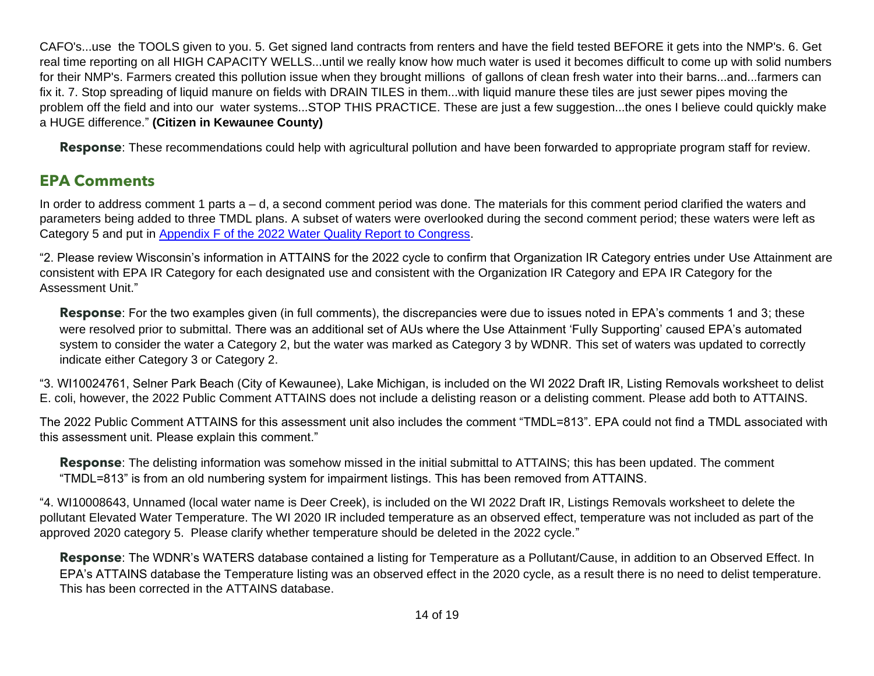CAFO's...use the TOOLS given to you. 5. Get signed land contracts from renters and have the field tested BEFORE it gets into the NMP's. 6. Get real time reporting on all HIGH CAPACITY WELLS...until we really know how much water is used it becomes difficult to come up with solid numbers for their NMP's. Farmers created this pollution issue when they brought millions of gallons of clean fresh water into their barns...and...farmers can fix it. 7. Stop spreading of liquid manure on fields with DRAIN TILES in them...with liquid manure these tiles are just sewer pipes moving the problem off the field and into our water systems...STOP THIS PRACTICE. These are just a few suggestion...the ones I believe could quickly make a HUGE difference." **(Citizen in Kewaunee County)**

**Response**: These recommendations could help with agricultural pollution and have been forwarded to appropriate program staff for review.

### **EPA Comments**

In order to address comment 1 parts a – d, a second comment period was done. The materials for this comment period clarified the waters and parameters being added to three TMDL plans. A subset of waters were overlooked during the second comment period; these waters were left as Category 5 and put in [Appendix F of the 2022 Water Quality Report to Congress.](https://dnr.wi.gov/water/wsSWIMSDocument.ashx?documentSeqNo=307141989)

"2. Please review Wisconsin's information in ATTAINS for the 2022 cycle to confirm that Organization IR Category entries under Use Attainment are consistent with EPA IR Category for each designated use and consistent with the Organization IR Category and EPA IR Category for the Assessment Unit."

**Response**: For the two examples given (in full comments), the discrepancies were due to issues noted in EPA's comments 1 and 3; these were resolved prior to submittal. There was an additional set of AUs where the Use Attainment 'Fully Supporting' caused EPA's automated system to consider the water a Category 2, but the water was marked as Category 3 by WDNR. This set of waters was updated to correctly indicate either Category 3 or Category 2.

<span id="page-13-0"></span>"3. WI10024761, Selner Park Beach (City of Kewaunee), Lake Michigan, is included on the WI 2022 Draft IR, Listing Removals worksheet to delist E. coli, however, the 2022 Public Comment ATTAINS does not include a delisting reason or a delisting comment. Please add both to ATTAINS.

The 2022 Public Comment ATTAINS for this assessment unit also includes the comment "TMDL=813". EPA could not find a TMDL associated with this assessment unit. Please explain this comment."

**Response**: The delisting information was somehow missed in the initial submittal to ATTAINS; this has been updated. The comment "TMDL=813" is from an old numbering system for impairment listings. This has been removed from ATTAINS.

"4. WI10008643, Unnamed (local water name is Deer Creek), is included on the WI 2022 Draft IR, Listings Removals worksheet to delete the pollutant Elevated Water Temperature. The WI 2020 IR included temperature as an observed effect, temperature was not included as part of the approved 2020 category 5. Please clarify whether temperature should be deleted in the 2022 cycle."

**Response**: The WDNR's WATERS database contained a listing for Temperature as a Pollutant/Cause, in addition to an Observed Effect. In EPA's ATTAINS database the Temperature listing was an observed effect in the 2020 cycle, as a result there is no need to delist temperature. This has been corrected in the ATTAINS database.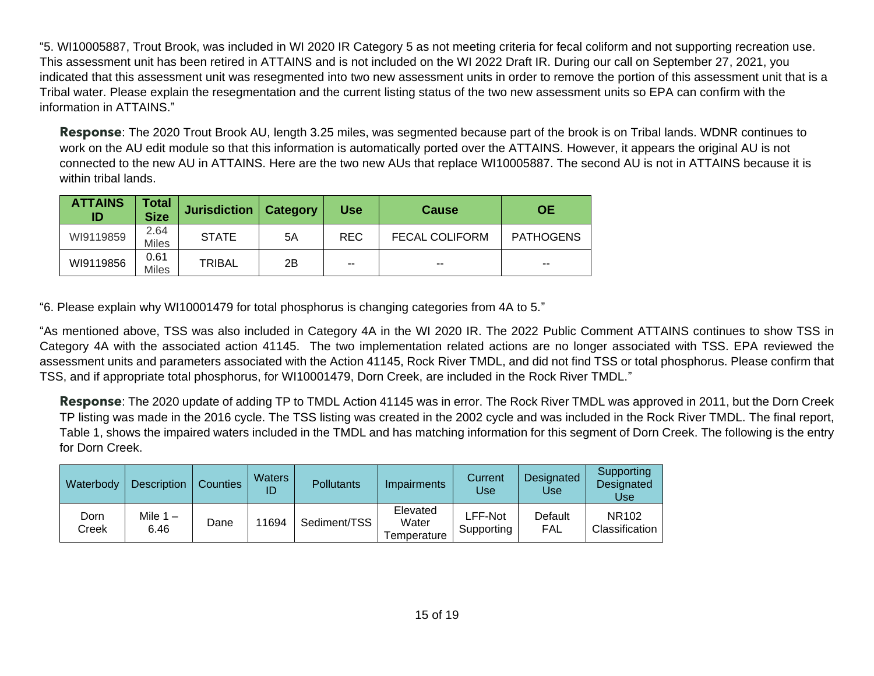"5. WI10005887, Trout Brook, was included in WI 2020 IR Category 5 as not meeting criteria for fecal coliform and not supporting recreation use. This assessment unit has been retired in ATTAINS and is not included on the WI 2022 Draft IR. During our call on September 27, 2021, you indicated that this assessment unit was resegmented into two new assessment units in order to remove the portion of this assessment unit that is a Tribal water. Please explain the resegmentation and the current listing status of the two new assessment units so EPA can confirm with the information in ATTAINS."

**Response**: The 2020 Trout Brook AU, length 3.25 miles, was segmented because part of the brook is on Tribal lands. WDNR continues to work on the AU edit module so that this information is automatically ported over the ATTAINS. However, it appears the original AU is not connected to the new AU in ATTAINS. Here are the two new AUs that replace WI10005887. The second AU is not in ATTAINS because it is within tribal lands.

| <b>ATTAINS</b><br>ID | <b>Total</b><br><b>Size</b> | Jurisdiction  | Category | <b>Use</b> | <b>Cause</b>          | ЮE               |
|----------------------|-----------------------------|---------------|----------|------------|-----------------------|------------------|
| WI9119859            | 2.64<br><b>Miles</b>        | <b>STATE</b>  | 5A       | <b>REC</b> | <b>FECAL COLIFORM</b> | <b>PATHOGENS</b> |
| WI9119856            | 0.61<br><b>Miles</b>        | <b>TRIBAL</b> | 2B       | $- -$      | $- -$                 | $- -$            |

"6. Please explain why WI10001479 for total phosphorus is changing categories from 4A to 5."

"As mentioned above, TSS was also included in Category 4A in the WI 2020 IR. The 2022 Public Comment ATTAINS continues to show TSS in Category 4A with the associated action 41145. The two implementation related actions are no longer associated with TSS. EPA reviewed the assessment units and parameters associated with the Action 41145, Rock River TMDL, and did not find TSS or total phosphorus. Please confirm that TSS, and if appropriate total phosphorus, for WI10001479, Dorn Creek, are included in the Rock River TMDL."

**Response**: The 2020 update of adding TP to TMDL Action 41145 was in error. The Rock River TMDL was approved in 2011, but the Dorn Creek TP listing was made in the 2016 cycle. The TSS listing was created in the 2002 cycle and was included in the Rock River TMDL. The final report, Table 1, shows the impaired waters included in the TMDL and has matching information for this segment of Dorn Creek. The following is the entry for Dorn Creek.

| Waterbody     | <b>Description</b> | <b>Counties</b> | <b>Waters</b><br>ID | Pollutants   | Impairments                      | Current<br>Use        | Designated<br><b>Use</b> | Supporting<br>Designated<br>Use     |
|---------------|--------------------|-----------------|---------------------|--------------|----------------------------------|-----------------------|--------------------------|-------------------------------------|
| Dorn<br>Creek | Mile $1 -$<br>6.46 | Dane            | 1694                | Sediment/TSS | Elevated<br>Water<br>Temperature | LFF-Not<br>Supporting | Default<br>FAL           | NR <sub>102</sub><br>Classification |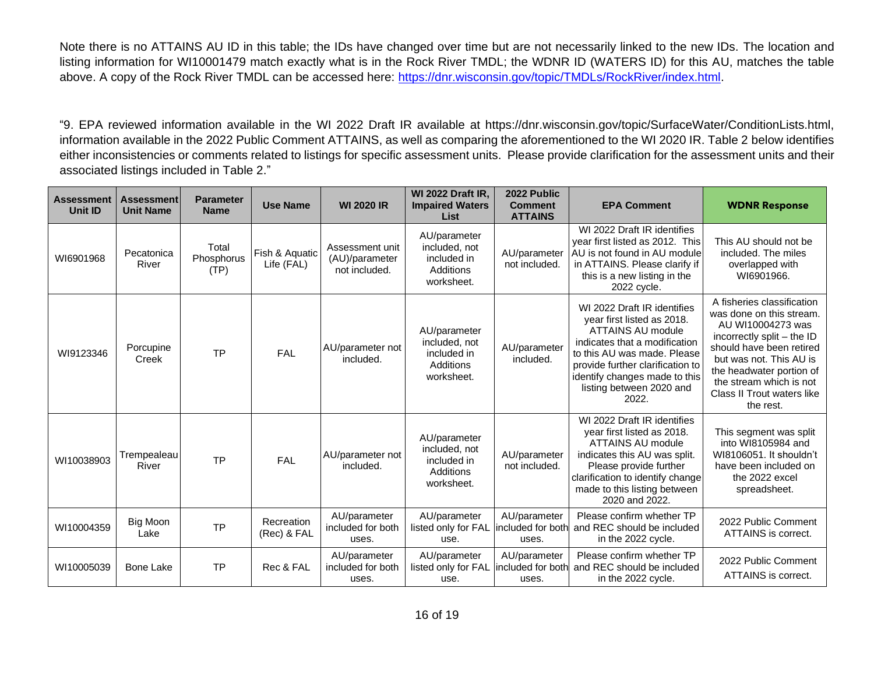Note there is no ATTAINS AU ID in this table; the IDs have changed over time but are not necessarily linked to the new IDs. The location and listing information for WI10001479 match exactly what is in the Rock River TMDL; the WDNR ID (WATERS ID) for this AU, matches the table above. A copy of the Rock River TMDL can be accessed here: [https://dnr.wisconsin.gov/topic/TMDLs/RockRiver/index.html.](https://dnr.wisconsin.gov/topic/TMDLs/RockRiver/index.html)

"9. EPA reviewed information available in the WI 2022 Draft IR available at https://dnr.wisconsin.gov/topic/SurfaceWater/ConditionLists.html, information available in the 2022 Public Comment ATTAINS, as well as comparing the aforementioned to the WI 2020 IR. Table 2 below identifies either inconsistencies or comments related to listings for specific assessment units. Please provide clarification for the assessment units and their associated listings included in Table 2."

| <b>Assessment</b><br>Unit ID | <b>Assessment</b><br><b>Unit Name</b> | <b>Parameter</b><br><b>Name</b> | <b>Use Name</b>              | <b>WI 2020 IR</b>                                  | <b>WI 2022 Draft IR.</b><br><b>Impaired Waters</b><br>List              | 2022 Public<br><b>Comment</b><br><b>ATTAINS</b> | <b>EPA Comment</b>                                                                                                                                                                                                                                       | <b>WDNR Response</b>                                                                                                                                                                                                                                               |
|------------------------------|---------------------------------------|---------------------------------|------------------------------|----------------------------------------------------|-------------------------------------------------------------------------|-------------------------------------------------|----------------------------------------------------------------------------------------------------------------------------------------------------------------------------------------------------------------------------------------------------------|--------------------------------------------------------------------------------------------------------------------------------------------------------------------------------------------------------------------------------------------------------------------|
| WI6901968                    | Pecatonica<br>River                   | Total<br>Phosphorus<br>(TP)     | Fish & Aquatic<br>Life (FAL) | Assessment unit<br>(AU)/parameter<br>not included. | AU/parameter<br>included, not<br>included in<br>Additions<br>worksheet. | AU/parameter<br>not included.                   | WI 2022 Draft IR identifies<br>year first listed as 2012. This<br>AU is not found in AU module<br>in ATTAINS. Please clarify if<br>this is a new listing in the<br>2022 cycle.                                                                           | This AU should not be<br>included. The miles<br>overlapped with<br>WI6901966.                                                                                                                                                                                      |
| WI9123346                    | Porcupine<br>Creek                    | <b>TP</b>                       | <b>FAL</b>                   | AU/parameter not<br>included.                      | AU/parameter<br>included, not<br>included in<br>Additions<br>worksheet. | AU/parameter<br>included.                       | WI 2022 Draft IR identifies<br>year first listed as 2018.<br>ATTAINS AU module<br>indicates that a modification<br>to this AU was made. Please<br>provide further clarification to<br>identify changes made to this<br>listing between 2020 and<br>2022. | A fisheries classification<br>was done on this stream.<br>AU WI10004273 was<br>incorrectly split - the ID<br>should have been retired<br>but was not. This AU is<br>the headwater portion of<br>the stream which is not<br>Class II Trout waters like<br>the rest. |
| WI10038903                   | Trempealeau<br>River                  | <b>TP</b>                       | FAL                          | AU/parameter not<br>included.                      | AU/parameter<br>included, not<br>included in<br>Additions<br>worksheet. | AU/parameter<br>not included.                   | WI 2022 Draft IR identifies<br>year first listed as 2018.<br><b>ATTAINS AU module</b><br>indicates this AU was split.<br>Please provide further<br>clarification to identify change<br>made to this listing between<br>2020 and 2022.                    | This segment was split<br>into WI8105984 and<br>WI8106051. It shouldn't<br>have been included on<br>the 2022 excel<br>spreadsheet.                                                                                                                                 |
| WI10004359                   | Big Moon<br>Lake                      | <b>TP</b>                       | Recreation<br>(Rec) & FAL    | AU/parameter<br>included for both<br>uses.         | AU/parameter<br>listed only for FAL<br>use.                             | AU/parameter<br>lincluded for both<br>uses.     | Please confirm whether TP<br>and REC should be included<br>in the 2022 cycle.                                                                                                                                                                            | 2022 Public Comment<br><b>ATTAINS</b> is correct.                                                                                                                                                                                                                  |
| WI10005039                   | <b>Bone Lake</b>                      | <b>TP</b>                       | Rec & FAL                    | AU/parameter<br>included for both<br>uses.         | AU/parameter<br>listed only for FAL<br>use.                             | AU/parameter<br>included for both<br>uses.      | Please confirm whether TP<br>and REC should be included<br>in the 2022 cycle.                                                                                                                                                                            | 2022 Public Comment<br>ATTAINS is correct.                                                                                                                                                                                                                         |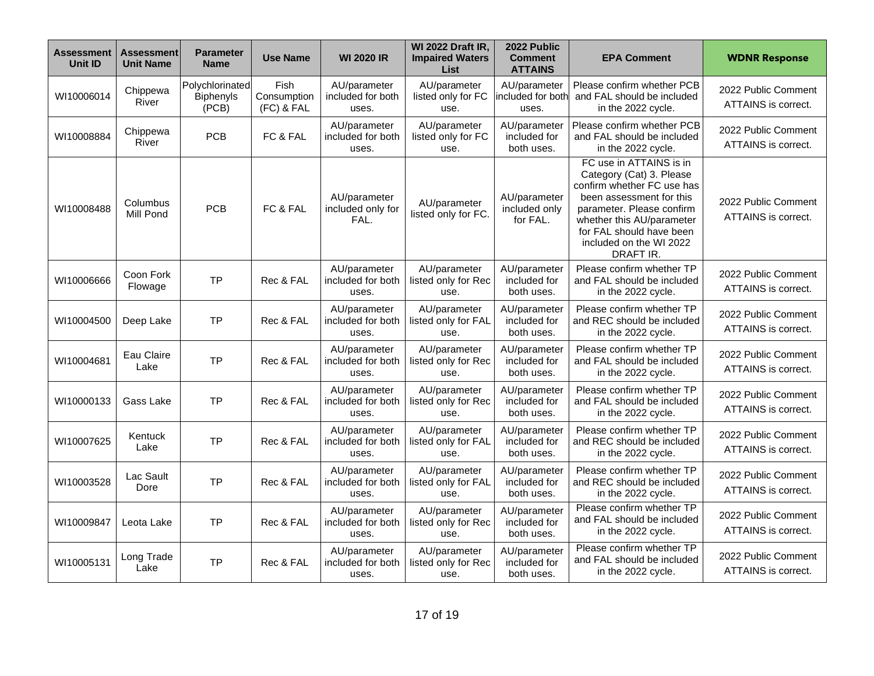| <b>Assessment</b><br>Unit ID | <b>Assessment</b><br><b>Unit Name</b> | <b>Parameter</b><br><b>Name</b>              | <b>Use Name</b>                   | <b>WI 2020 IR</b>                          | <b>WI 2022 Draft IR,</b><br><b>Impaired Waters</b><br>List | 2022 Public<br><b>Comment</b><br><b>ATTAINS</b> | <b>EPA Comment</b>                                                                                                                                                                                                                          | <b>WDNR Response</b>                       |
|------------------------------|---------------------------------------|----------------------------------------------|-----------------------------------|--------------------------------------------|------------------------------------------------------------|-------------------------------------------------|---------------------------------------------------------------------------------------------------------------------------------------------------------------------------------------------------------------------------------------------|--------------------------------------------|
| WI10006014                   | Chippewa<br>River                     | Polychlorinated<br><b>Biphenyls</b><br>(PCB) | Fish<br>Consumption<br>(FC) & FAL | AU/parameter<br>included for both<br>uses. | AU/parameter<br>listed only for FC<br>use.                 | AU/parameter<br>included for both<br>uses.      | Please confirm whether PCB<br>and FAL should be included<br>in the 2022 cycle.                                                                                                                                                              | 2022 Public Comment<br>ATTAINS is correct. |
| WI10008884                   | Chippewa<br>River                     | <b>PCB</b>                                   | FC & FAL                          | AU/parameter<br>included for both<br>uses. | AU/parameter<br>listed only for FC<br>use.                 | AU/parameter<br>included for<br>both uses.      | Please confirm whether PCB<br>and FAL should be included<br>in the 2022 cycle.                                                                                                                                                              | 2022 Public Comment<br>ATTAINS is correct. |
| WI10008488                   | Columbus<br>Mill Pond                 | <b>PCB</b>                                   | FC & FAL                          | AU/parameter<br>included only for<br>FAL.  | AU/parameter<br>listed only for FC.                        | AU/parameter<br>included only<br>for FAL.       | FC use in ATTAINS is in<br>Category (Cat) 3. Please<br>confirm whether FC use has<br>been assessment for this<br>parameter. Please confirm<br>whether this AU/parameter<br>for FAL should have been<br>included on the WI 2022<br>DRAFT IR. | 2022 Public Comment<br>ATTAINS is correct. |
| WI10006666                   | Coon Fork<br>Flowage                  | <b>TP</b>                                    | Rec & FAL                         | AU/parameter<br>included for both<br>uses. | AU/parameter<br>listed only for Rec<br>use.                | AU/parameter<br>included for<br>both uses.      | Please confirm whether TP<br>and FAL should be included<br>in the 2022 cycle.                                                                                                                                                               | 2022 Public Comment<br>ATTAINS is correct. |
| WI10004500                   | Deep Lake                             | <b>TP</b>                                    | Rec & FAL                         | AU/parameter<br>included for both<br>uses. | AU/parameter<br>listed only for FAL<br>use.                | AU/parameter<br>included for<br>both uses.      | Please confirm whether TP<br>and REC should be included<br>in the 2022 cycle.                                                                                                                                                               | 2022 Public Comment<br>ATTAINS is correct. |
| WI10004681                   | Eau Claire<br>Lake                    | <b>TP</b>                                    | Rec & FAL                         | AU/parameter<br>included for both<br>uses. | AU/parameter<br>listed only for Rec<br>use.                | AU/parameter<br>included for<br>both uses.      | Please confirm whether TP<br>and FAL should be included<br>in the 2022 cycle.                                                                                                                                                               | 2022 Public Comment<br>ATTAINS is correct. |
| WI10000133                   | Gass Lake                             | <b>TP</b>                                    | Rec & FAL                         | AU/parameter<br>included for both<br>uses. | AU/parameter<br>listed only for Rec<br>use.                | AU/parameter<br>included for<br>both uses.      | Please confirm whether TP<br>and FAL should be included<br>in the 2022 cycle.                                                                                                                                                               | 2022 Public Comment<br>ATTAINS is correct. |
| WI10007625                   | Kentuck<br>Lake                       | <b>TP</b>                                    | Rec & FAL                         | AU/parameter<br>included for both<br>uses. | AU/parameter<br>listed only for FAL<br>use.                | AU/parameter<br>included for<br>both uses.      | Please confirm whether TP<br>and REC should be included<br>in the 2022 cycle.                                                                                                                                                               | 2022 Public Comment<br>ATTAINS is correct. |
| WI10003528                   | Lac Sault<br>Dore                     | <b>TP</b>                                    | Rec & FAL                         | AU/parameter<br>included for both<br>uses. | AU/parameter<br>listed only for FAL<br>use.                | AU/parameter<br>included for<br>both uses.      | Please confirm whether TP<br>and REC should be included<br>in the 2022 cycle.                                                                                                                                                               | 2022 Public Comment<br>ATTAINS is correct. |
| WI10009847                   | Leota Lake                            | <b>TP</b>                                    | Rec & FAL                         | AU/parameter<br>included for both<br>uses. | AU/parameter<br>listed only for Rec<br>use.                | AU/parameter<br>included for<br>both uses.      | Please confirm whether TP<br>and FAL should be included<br>in the 2022 cycle.                                                                                                                                                               | 2022 Public Comment<br>ATTAINS is correct. |
| WI10005131                   | Long Trade<br>Lake                    | <b>TP</b>                                    | Rec & FAL                         | AU/parameter<br>included for both<br>uses. | AU/parameter<br>listed only for Rec<br>use.                | AU/parameter<br>included for<br>both uses.      | Please confirm whether TP<br>and FAL should be included<br>in the 2022 cycle.                                                                                                                                                               | 2022 Public Comment<br>ATTAINS is correct. |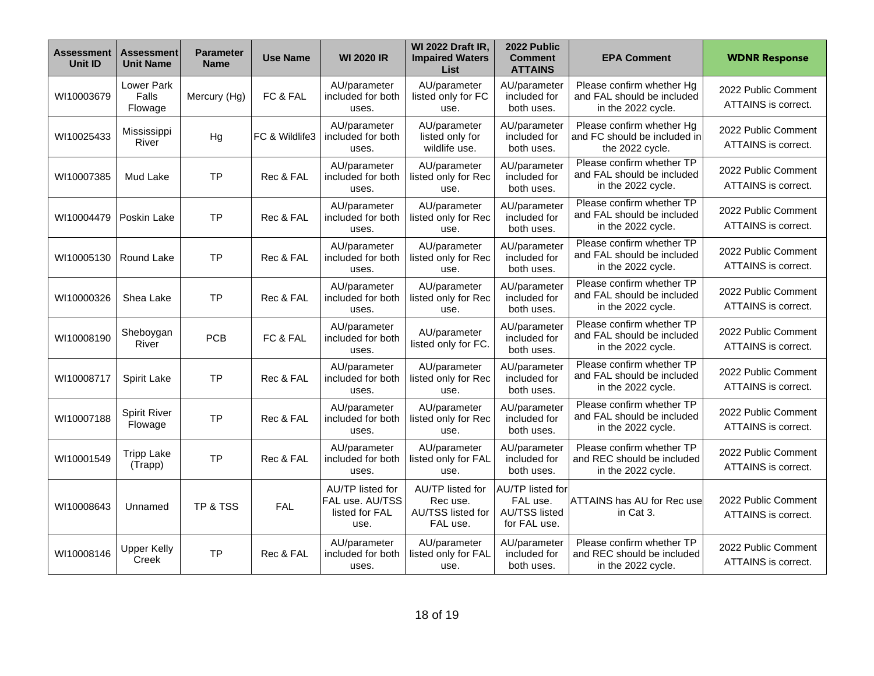| Assessment<br>Unit ID | <b>Assessment</b><br><b>Unit Name</b> | <b>Parameter</b><br><b>Name</b> | <b>Use Name</b> | <b>WI 2020 IR</b>                                             | <b>WI 2022 Draft IR.</b><br><b>Impaired Waters</b><br><b>List</b> | 2022 Public<br><b>Comment</b><br><b>ATTAINS</b>                             | <b>EPA Comment</b>                                                            | <b>WDNR Response</b>                       |
|-----------------------|---------------------------------------|---------------------------------|-----------------|---------------------------------------------------------------|-------------------------------------------------------------------|-----------------------------------------------------------------------------|-------------------------------------------------------------------------------|--------------------------------------------|
| WI10003679            | Lower Park<br>Falls<br>Flowage        | Mercury (Hg)                    | FC & FAL        | AU/parameter<br>included for both<br>uses.                    | AU/parameter<br>listed only for FC<br>use.                        | AU/parameter<br>included for<br>both uses.                                  | Please confirm whether Hg<br>and FAL should be included<br>in the 2022 cycle. | 2022 Public Comment<br>ATTAINS is correct. |
| WI10025433            | Mississippi<br>River                  | Hg                              | FC & Wildlife3  | AU/parameter<br>included for both<br>uses.                    | AU/parameter<br>listed only for<br>wildlife use.                  | AU/parameter<br>included for<br>both uses.                                  | Please confirm whether Hg<br>and FC should be included in<br>the 2022 cycle.  | 2022 Public Comment<br>ATTAINS is correct. |
| WI10007385            | Mud Lake                              | <b>TP</b>                       | Rec & FAL       | AU/parameter<br>included for both<br>uses.                    | AU/parameter<br>listed only for Rec<br>use.                       | AU/parameter<br>included for<br>both uses.                                  | Please confirm whether TP<br>and FAL should be included<br>in the 2022 cycle. | 2022 Public Comment<br>ATTAINS is correct. |
| WI10004479            | Poskin Lake                           | <b>TP</b>                       | Rec & FAL       | AU/parameter<br>included for both<br>uses.                    | AU/parameter<br>listed only for Rec<br>use.                       | AU/parameter<br>included for<br>both uses.                                  | Please confirm whether TP<br>and FAL should be included<br>in the 2022 cycle. | 2022 Public Comment<br>ATTAINS is correct. |
| WI10005130            | Round Lake                            | <b>TP</b>                       | Rec & FAL       | AU/parameter<br>included for both<br>uses.                    | AU/parameter<br>listed only for Rec<br>use.                       | AU/parameter<br>included for<br>both uses.                                  | Please confirm whether TP<br>and FAL should be included<br>in the 2022 cycle. | 2022 Public Comment<br>ATTAINS is correct. |
| WI10000326            | Shea Lake                             | <b>TP</b>                       | Rec & FAL       | AU/parameter<br>included for both<br>uses.                    | AU/parameter<br>listed only for Rec<br>use.                       | AU/parameter<br>included for<br>both uses.                                  | Please confirm whether TP<br>and FAL should be included<br>in the 2022 cycle. | 2022 Public Comment<br>ATTAINS is correct. |
| WI10008190            | Sheboygan<br>River                    | <b>PCB</b>                      | FC & FAL        | AU/parameter<br>included for both<br>uses.                    | AU/parameter<br>listed only for FC.                               | AU/parameter<br>included for<br>both uses.                                  | Please confirm whether TP<br>and FAL should be included<br>in the 2022 cycle. | 2022 Public Comment<br>ATTAINS is correct. |
| WI10008717            | Spirit Lake                           | ΤP                              | Rec & FAL       | AU/parameter<br>included for both<br>uses.                    | AU/parameter<br>listed only for Rec<br>use.                       | AU/parameter<br>included for<br>both uses.                                  | Please confirm whether TP<br>and FAL should be included<br>in the 2022 cycle. | 2022 Public Comment<br>ATTAINS is correct. |
| WI10007188            | <b>Spirit River</b><br>Flowage        | <b>TP</b>                       | Rec & FAL       | AU/parameter<br>included for both<br>uses.                    | AU/parameter<br>listed only for Rec<br>use.                       | AU/parameter<br>included for<br>both uses.                                  | Please confirm whether TP<br>and FAL should be included<br>in the 2022 cycle. | 2022 Public Comment<br>ATTAINS is correct. |
| WI10001549            | <b>Tripp Lake</b><br>(Trapp)          | <b>TP</b>                       | Rec & FAL       | AU/parameter<br>included for both<br>uses.                    | AU/parameter<br>listed only for FAL<br>use.                       | AU/parameter<br>included for<br>both uses.                                  | Please confirm whether TP<br>and REC should be included<br>in the 2022 cycle. | 2022 Public Comment<br>ATTAINS is correct. |
| WI10008643            | Unnamed                               | TP & TSS                        | <b>FAL</b>      | AU/TP listed for<br>FAL use. AU/TSS<br>listed for FAL<br>use. | AU/TP listed for<br>Rec use.<br>AU/TSS listed for<br>FAL use.     | <b>AU/TP</b> listed for<br>FAL use.<br><b>AU/TSS listed</b><br>for FAL use. | ATTAINS has AU for Rec use<br>in Cat 3.                                       | 2022 Public Comment<br>ATTAINS is correct. |
| WI10008146            | <b>Upper Kelly</b><br>Creek           | <b>TP</b>                       | Rec & FAL       | AU/parameter<br>included for both<br>uses.                    | AU/parameter<br>listed only for FAL<br>use.                       | AU/parameter<br>included for<br>both uses.                                  | Please confirm whether TP<br>and REC should be included<br>in the 2022 cycle. | 2022 Public Comment<br>ATTAINS is correct. |